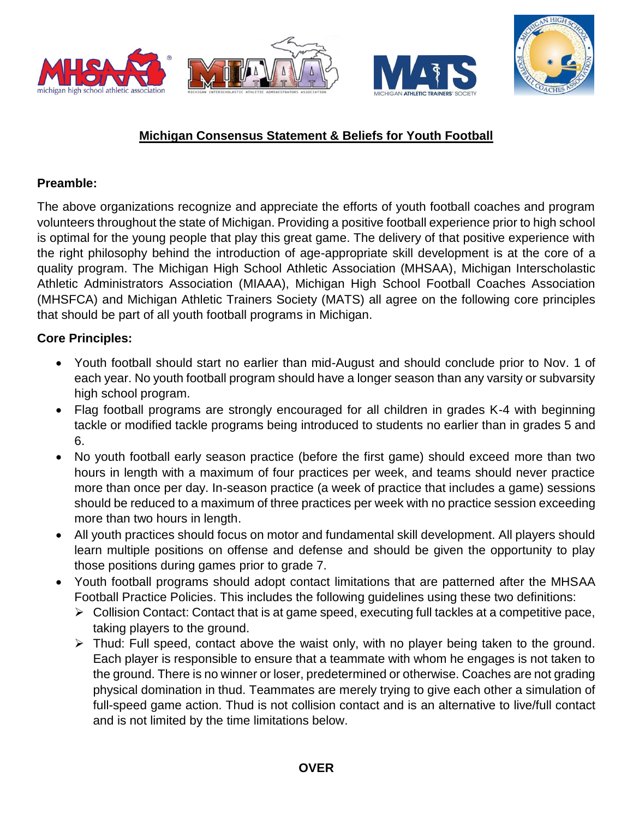

# **Michigan Consensus Statement & Beliefs for Youth Football**

#### **Preamble:**

The above organizations recognize and appreciate the efforts of youth football coaches and program volunteers throughout the state of Michigan. Providing a positive football experience prior to high school is optimal for the young people that play this great game. The delivery of that positive experience with the right philosophy behind the introduction of age-appropriate skill development is at the core of a quality program. The Michigan High School Athletic Association (MHSAA), Michigan Interscholastic Athletic Administrators Association (MIAAA), Michigan High School Football Coaches Association (MHSFCA) and Michigan Athletic Trainers Society (MATS) all agree on the following core principles that should be part of all youth football programs in Michigan.

### **Core Principles:**

- Youth football should start no earlier than mid-August and should conclude prior to Nov. 1 of each year. No youth football program should have a longer season than any varsity or subvarsity high school program.
- Flag football programs are strongly encouraged for all children in grades K-4 with beginning tackle or modified tackle programs being introduced to students no earlier than in grades 5 and 6.
- No youth football early season practice (before the first game) should exceed more than two hours in length with a maximum of four practices per week, and teams should never practice more than once per day. In-season practice (a week of practice that includes a game) sessions should be reduced to a maximum of three practices per week with no practice session exceeding more than two hours in length.
- All youth practices should focus on motor and fundamental skill development. All players should learn multiple positions on offense and defense and should be given the opportunity to play those positions during games prior to grade 7.
- Youth football programs should adopt contact limitations that are patterned after the MHSAA Football Practice Policies. This includes the following guidelines using these two definitions:
	- $\triangleright$  Collision Contact: Contact that is at game speed, executing full tackles at a competitive pace, taking players to the ground.
	- > Thud: Full speed, contact above the waist only, with no player being taken to the ground. Each player is responsible to ensure that a teammate with whom he engages is not taken to the ground. There is no winner or loser, predetermined or otherwise. Coaches are not grading physical domination in thud. Teammates are merely trying to give each other a simulation of full-speed game action. Thud is not collision contact and is an alternative to live/full contact and is not limited by the time limitations below.